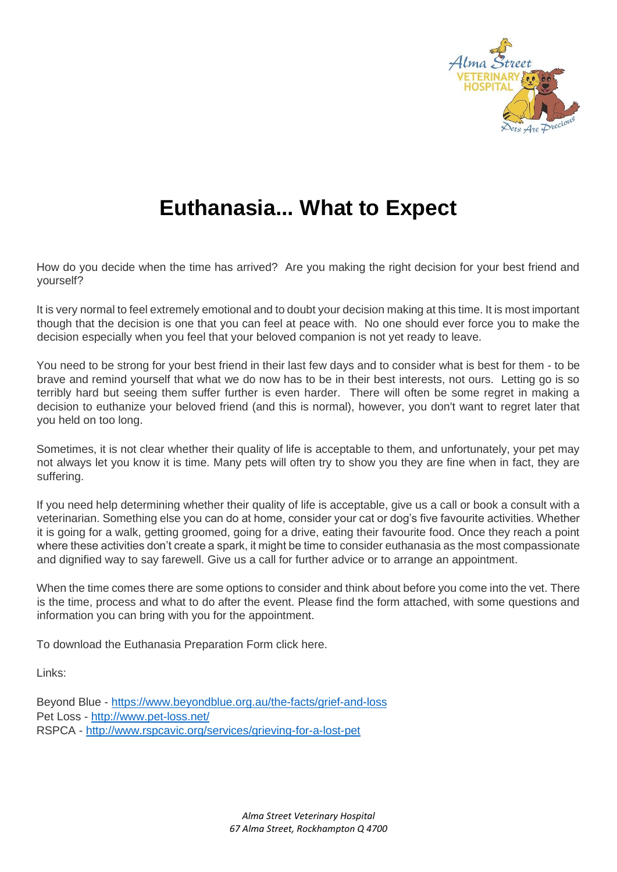

# **Euthanasia... What to Expect**

How do you decide when the time has arrived? Are you making the right decision for your best friend and yourself?

It is very normal to feel extremely emotional and to doubt your decision making at this time. It is most important though that the decision is one that you can feel at peace with. No one should ever force you to make the decision especially when you feel that your beloved companion is not yet ready to leave.

You need to be strong for your best friend in their last few days and to consider what is best for them - to be brave and remind yourself that what we do now has to be in their best interests, not ours. Letting go is so terribly hard but seeing them suffer further is even harder. There will often be some regret in making a decision to euthanize your beloved friend (and this is normal), however, you don't want to regret later that you held on too long.

Sometimes, it is not clear whether their quality of life is acceptable to them, and unfortunately, your pet may not always let you know it is time. Many pets will often try to show you they are fine when in fact, they are suffering.

If you need help determining whether their quality of life is acceptable, give us a call or book a consult with a veterinarian. Something else you can do at home, consider your cat or dog's five favourite activities. Whether it is going for a walk, getting groomed, going for a drive, eating their favourite food. Once they reach a point where these activities don't create a spark, it might be time to consider euthanasia as the most compassionate and dignified way to say farewell. Give us a call for further advice or to arrange an appointment.

When the time comes there are some options to consider and think about before you come into the vet. There is the time, process and what to do after the event. Please find the form attached, with some questions and information you can bring with you for the appointment.

To download the Euthanasia Preparation Form click here.

Links:

Beyond Blue [-](https://www.beyondblue.org.au/the-facts/grief-and-loss) <https://www.beyondblue.org.au/the-facts/grief-and-loss> Pet Loss - <http://www.pet-loss.net/> RSPCA - <http://www.rspcavic.org/services/grieving-for-a-lost-pet>